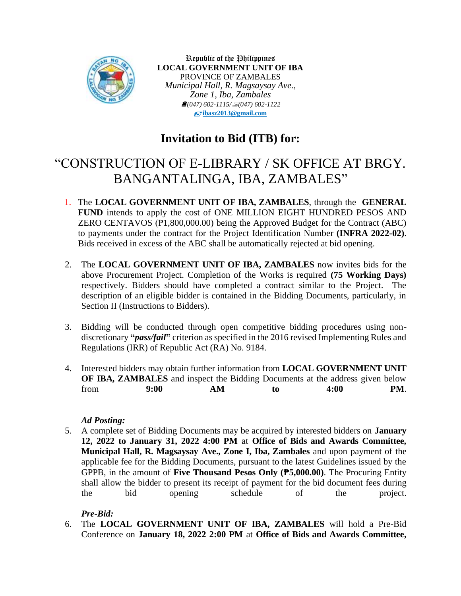

Republic of the Philippines **LOCAL GOVERNMENT UNIT OF IBA** PROVINCE OF ZAMBALES *Municipal Hall, R. Magsaysay Ave., Zone 1, Iba, Zambales (047) 602-1115/(047) 602-1122* **[ibasz2013@gmail.com](mailto:ibasz2013@gmail.com)**

# **Invitation to Bid (ITB) for:**

# "CONSTRUCTION OF E-LIBRARY / SK OFFICE AT BRGY. BANGANTALINGA, IBA, ZAMBALES"

- 1. The **LOCAL GOVERNMENT UNIT OF IBA, ZAMBALES**, through the **GENERAL FUND** intends to apply the cost of ONE MILLION EIGHT HUNDRED PESOS AND ZERO CENTAVOS (₱1,800,000.00) being the Approved Budget for the Contract (ABC) to payments under the contract for the Project Identification Number **(INFRA 2022-02)**. Bids received in excess of the ABC shall be automatically rejected at bid opening.
- 2. The **LOCAL GOVERNMENT UNIT OF IBA, ZAMBALES** now invites bids for the above Procurement Project. Completion of the Works is required **(75 Working Days)** respectively. Bidders should have completed a contract similar to the Project. The description of an eligible bidder is contained in the Bidding Documents, particularly, in Section II (Instructions to Bidders).
- 3. Bidding will be conducted through open competitive bidding procedures using nondiscretionary **"***pass/fail***"** criterion as specified in the 2016 revised Implementing Rules and Regulations (IRR) of Republic Act (RA) No. 9184.
- 4. Interested bidders may obtain further information from **LOCAL GOVERNMENT UNIT OF IBA, ZAMBALES** and inspect the Bidding Documents at the address given below from **9:00 AM to 4:00 PM**.

## *Ad Posting:*

5. A complete set of Bidding Documents may be acquired by interested bidders on **January 12, 2022 to January 31, 2022 4:00 PM** at **Office of Bids and Awards Committee, Municipal Hall, R. Magsaysay Ave., Zone I, Iba, Zambales** and upon payment of the applicable fee for the Bidding Documents, pursuant to the latest Guidelines issued by the GPPB, in the amount of **Five Thousand Pesos Only (₱5,000.00)**. The Procuring Entity shall allow the bidder to present its receipt of payment for the bid document fees during the bid opening schedule of the project.

#### *Pre-Bid:*

6. The **LOCAL GOVERNMENT UNIT OF IBA, ZAMBALES** will hold a Pre-Bid Conference on **January 18, 2022 2:00 PM** at **Office of Bids and Awards Committee,**